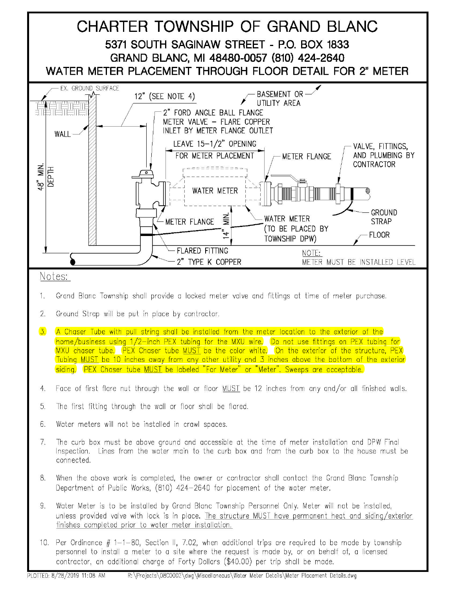

## Notes:

- 1. Grand Blanc Township shall provide a locked meter valve and fittings at time of meter purchase.
- 2. Ground Strap will be put in place by contractor.
- 3. A Chaser Tube with pull string shall be installed from the meter location to the exterior of the home/business using 1/2-inch PEX tubing for the MXU wire. Do not use fittings on PEX tubing for MXU chaser tube. PEX Chaser tube MUST be the color white. On the exterior of the structure, PEX Tubing MUST be 10 inches away from any other utility and 3 inches above the bottom of the exterior siding. PEX Chaser tube MUST be labeled "For Meter" or "Meter". Sweeps are acceptable.
- 4. Face of first flare nut through the wall or floor MUST be 12 inches from any and/or all finished walls.
- 5. The first fitting through the wall or floor shall be flared.
- 6. Water meters will not be installed in crawl spaces.
- 7. The curb box must be above ground and accessible at the time of meter installation and DPW Final Inspection. Lines from the water main to the curb box and from the curb box to the house must be connected.
- 8. When the above work is completed, the owner or contractor shall contact the Grand Blanc Township Department of Public Works, (810) 424-2640 for placement of the water meter.
- 9. Water Meter is to be installed by Grand Blanc Township Personnel Only. Meter will not be installed, unless provided valve with lock is in place. The structure MUST have permanent heat and siding/exterior finishes completed prior to water meter installation.
- 10. Per Ordinance  $# 1-1-80$ , Section II, 7.02, when additional trips are required to be made by township personnel to install a meter to a site where the request is made by, or on behalf of, a licensed contractor, an additional charge of Forty Dollars (\$40.00) per trip shall be made.